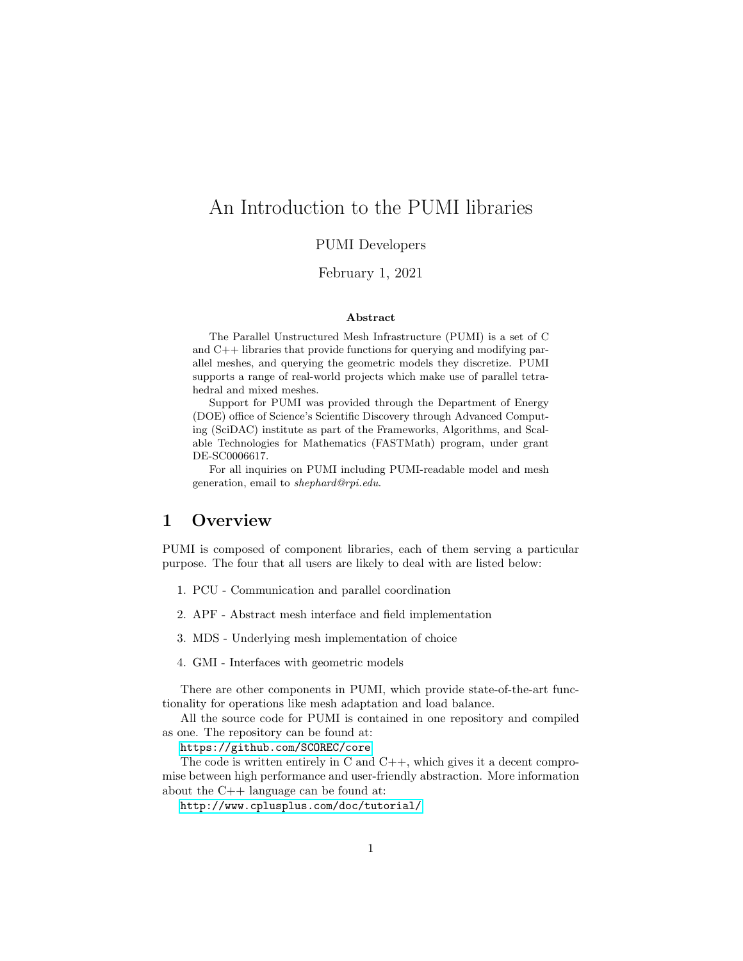# An Introduction to the PUMI libraries

#### PUMI Developers

#### February 1, 2021

#### Abstract

The Parallel Unstructured Mesh Infrastructure (PUMI) is a set of C and C++ libraries that provide functions for querying and modifying parallel meshes, and querying the geometric models they discretize. PUMI supports a range of real-world projects which make use of parallel tetrahedral and mixed meshes.

Support for PUMI was provided through the Department of Energy (DOE) office of Science's Scientific Discovery through Advanced Computing (SciDAC) institute as part of the Frameworks, Algorithms, and Scalable Technologies for Mathematics (FASTMath) program, under grant DE-SC0006617.

For all inquiries on PUMI including PUMI-readable model and mesh generation, email to shephard@rpi.edu.

### 1 Overview

PUMI is composed of component libraries, each of them serving a particular purpose. The four that all users are likely to deal with are listed below:

- 1. PCU Communication and parallel coordination
- 2. APF Abstract mesh interface and field implementation
- 3. MDS Underlying mesh implementation of choice
- 4. GMI Interfaces with geometric models

There are other components in PUMI, which provide state-of-the-art functionality for operations like mesh adaptation and load balance.

All the source code for PUMI is contained in one repository and compiled as one. The repository can be found at:

<https://github.com/SCOREC/core>

The code is written entirely in  $C$  and  $C_{++}$ , which gives it a decent compromise between high performance and user-friendly abstraction. More information about the C++ language can be found at:

<http://www.cplusplus.com/doc/tutorial/>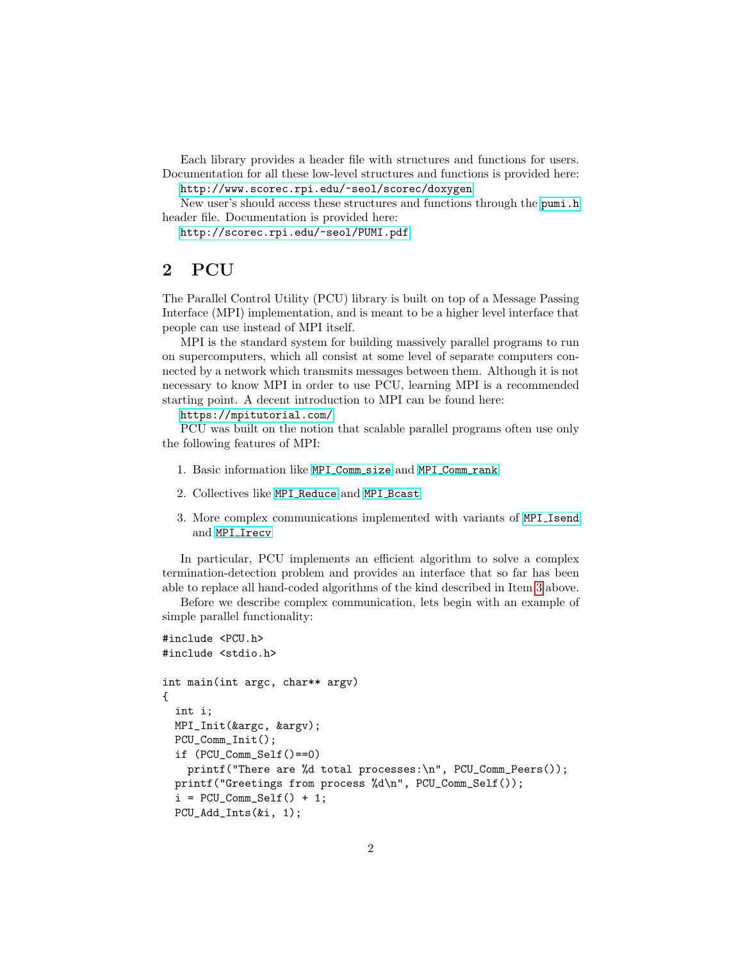Each library provides a header file with structures and functions for users. Documentation for all these low-level structures and functions is provided here:

<http://www.scorec.rpi.edu/~seol/scorec/doxygen>

New user's should access these structures and functions through the [pumi.h](https://github.com/SCOREC/core/blob/master/pumi/pumi.h) header file. Documentation is provided here:

<http://scorec.rpi.edu/~seol/PUMI.pdf>

### <span id="page-1-1"></span>2 PCU

The Parallel Control Utility (PCU) library is built on top of a Message Passing Interface (MPI) implementation, and is meant to be a higher level interface that people can use instead of MPI itself.

MPI is the standard system for building massively parallel programs to run on supercomputers, which all consist at some level of separate computers connected by a network which transmits messages between them. Although it is not necessary to know MPI in order to use PCU, learning MPI is a recommended starting point. A decent introduction to MPI can be found here:

<https://mpitutorial.com/>

PCU was built on the notion that scalable parallel programs often use only the following features of MPI:

- 1. Basic information like MPI [Comm](http://www.mpich.org/static/docs/v3.1/www3/MPI_Comm_size.html) size and MPI [Comm](http://www.mpich.org/static/docs/v3.1/www3/MPI_Comm_rank.html) rank
- 2. Collectives like MPI [Reduce](http://www.mpich.org/static/docs/v3.1/www3/MPI_Reduce.html) and MPI [Bcast](http://www.mpich.org/static/docs/v3.1/www3/MPI_Bcast.html)
- <span id="page-1-0"></span>3. More complex communications implemented with variants of MPI [Isend](http://www.mpich.org/static/docs/v3.1/www3/MPI_Isend.html) and MPI\_[Irecv](http://www.mpich.org/static/docs/v3.1/www3/MPI_Irecv.html)

In particular, PCU implements an efficient algorithm to solve a complex termination-detection problem and provides an interface that so far has been able to replace all hand-coded algorithms of the kind described in Item [3](#page-1-0) above.

Before we describe complex communication, lets begin with an example of simple parallel functionality:

```
#include <PCU.h>
#include <stdio.h>
int main(int argc, char** argv)
{
  int i;
 MPI_Init(&argc, &argv);
 PCU_Comm_Init();
  if (PCU_Comm_Self()==0)
    printf("There are %d total processes:\n", PCU_Comm_Peers());
 printf("Greetings from process %d\n", PCU_Comm_Self());
  i = PCU_Comm_Self() + 1;PCU_Add_Ints(&i, 1);
```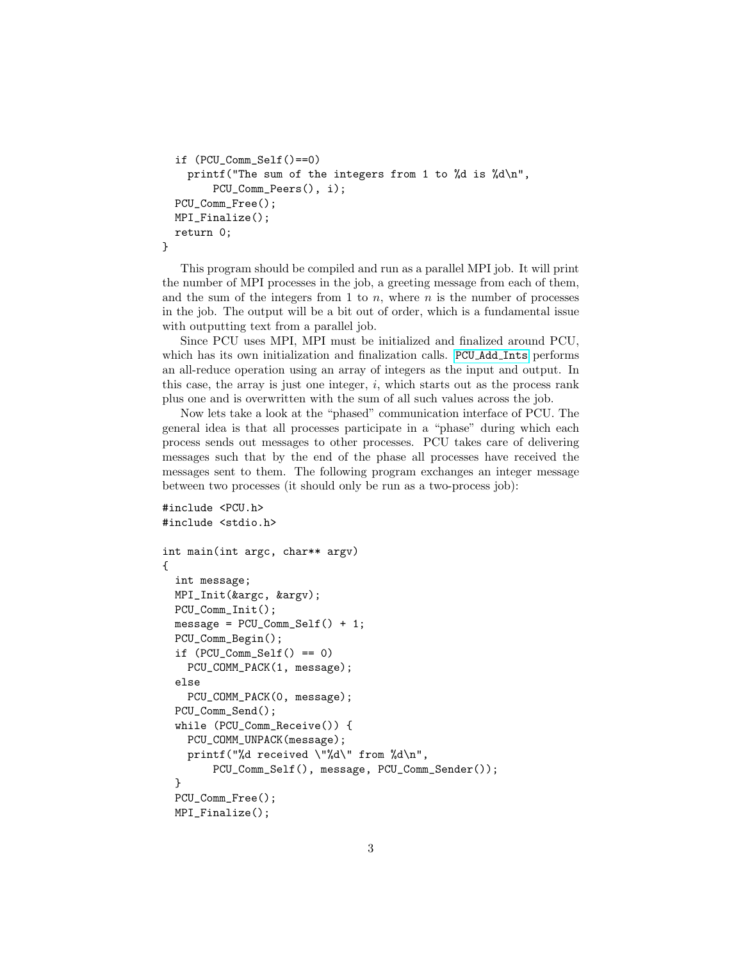```
if (PCU_Comm_Self()==0)
    printf("The sum of the integers from 1 to %d is %d\n",
        PCU_Comm_Peers(), i);
 PCU_Comm_Free();
 MPI_Finalize();
 return 0;
}
```
This program should be compiled and run as a parallel MPI job. It will print the number of MPI processes in the job, a greeting message from each of them, and the sum of the integers from 1 to n, where n is the number of processes in the job. The output will be a bit out of order, which is a fundamental issue with outputting text from a parallel job.

Since PCU uses MPI, MPI must be initialized and finalized around PCU, which has its own initialization and finalization calls. PCU<sub>-Add-[Ints](https://www.scorec.rpi.edu/~seol/scorec/doxygen/pcu_8c.html#abf86ddf22cc114fd2bd3f054a067c225)</sub> performs an all-reduce operation using an array of integers as the input and output. In this case, the array is just one integer,  $i$ , which starts out as the process rank plus one and is overwritten with the sum of all such values across the job.

Now lets take a look at the "phased" communication interface of PCU. The general idea is that all processes participate in a "phase" during which each process sends out messages to other processes. PCU takes care of delivering messages such that by the end of the phase all processes have received the messages sent to them. The following program exchanges an integer message between two processes (it should only be run as a two-process job):

```
#include <PCU.h>
#include <stdio.h>
int main(int argc, char** argv)
{
  int message;
 MPI_Init(&argc, &argv);
 PCU_Comm_Init();
 message = PCU_{\text{Comm\_Self}}() + 1;
 PCU_Comm_Begin();
  if (PCU\_Comm\_Self() == 0)PCU_COMM_PACK(1, message);
  else
    PCU_COMM_PACK(0, message);
 PCU_Comm_Send();
  while (PCU_Comm_Receive()) {
    PCU_COMM_UNPACK(message);
    printf("%d received \"%d\" from %d\n",
        PCU_Comm_Self(), message, PCU_Comm_Sender());
  }
  PCU_Comm_Free();
 MPI_Finalize();
```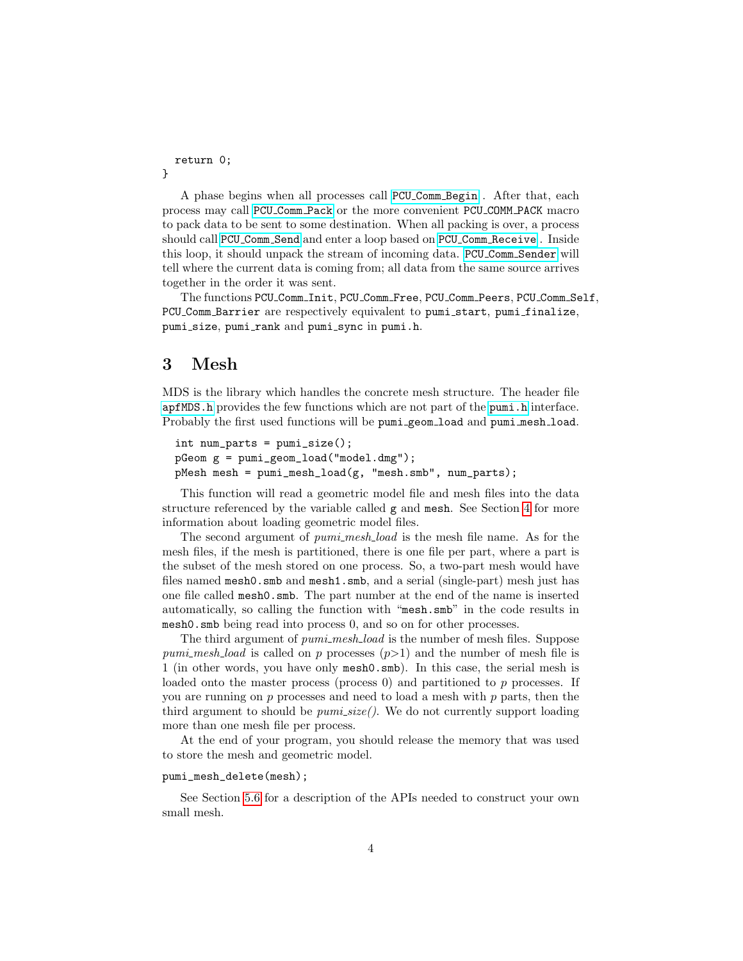```
return 0;
}
```
A phase begins when all processes call PCU Comm [Begin](https://www.scorec.rpi.edu/~seol/scorec/doxygen/pcu_8c.html#aa1821bf79d880c38cdd91515751799ac) . After that, each process may call PCU Comm [Pack](https://www.scorec.rpi.edu/~seol/scorec/doxygen/pcu_8c.html#afd8a6600d960129089c45fd49c1b2311) or the more convenient PCU COMM PACK macro to pack data to be sent to some destination. When all packing is over, a process should call PCU [Comm](https://www.scorec.rpi.edu/~seol/scorec/doxygen/pcu_8c.html#a263061f00174fc7a004dcb198778006c) Send and enter a loop based on PCU Comm [Receive](https://www.scorec.rpi.edu/~seol/scorec/doxygen/pcu_8c.html#ad02bc960bcfa8e2d6b09458dca38bf53) . Inside this loop, it should unpack the stream of incoming data. PCU Comm [Sender](http://scorec.rpi.edu/~seol/scorec/doxygen/pcu_8c.html#ac4577ded2ec61de4b4141e3353aac440) will tell where the current data is coming from; all data from the same source arrives together in the order it was sent.

The functions PCU Comm Init, PCU Comm Free, PCU Comm Peers, PCU Comm Self, PCU\_Comm\_Barrier are respectively equivalent to pumi\_start, pumi\_finalize, pumi\_size, pumi\_rank and pumi\_sync in pumi.h.

### <span id="page-3-0"></span>3 Mesh

MDS is the library which handles the concrete mesh structure. The header file [apfMDS.h](https://github.com/SCOREC/core/blob/master/mds/apfMDS.h) provides the few functions which are not part of the [pumi.h](https://github.com/SCOREC/core/blob/master/pumi/pumi.h) interface. Probably the first used functions will be pumi geom load and pumi mesh load.

```
int num_parts = pumi_size();
pGeom g = pumi_geom_load("model.dmg");
pMesh mesh = pumi_mesh_load(g, "mesh.smb", num_parts);
```
This function will read a geometric model file and mesh files into the data structure referenced by the variable called g and mesh. See Section [4](#page-4-0) for more information about loading geometric model files.

The second argument of *pumi\_mesh\_load* is the mesh file name. As for the mesh files, if the mesh is partitioned, there is one file per part, where a part is the subset of the mesh stored on one process. So, a two-part mesh would have files named mesh0.smb and mesh1.smb, and a serial (single-part) mesh just has one file called mesh0.smb. The part number at the end of the name is inserted automatically, so calling the function with "mesh.smb" in the code results in mesh0.smb being read into process 0, and so on for other processes.

The third argument of *pumi\_mesh\_load* is the number of mesh files. Suppose pumi mesh load is called on p processes  $(p>1)$  and the number of mesh file is 1 (in other words, you have only mesh0.smb). In this case, the serial mesh is loaded onto the master process (process  $(0)$ ) and partitioned to p processes. If you are running on  $p$  processes and need to load a mesh with  $p$  parts, then the third argument to should be  $pum i_size()$ . We do not currently support loading more than one mesh file per process.

At the end of your program, you should release the memory that was used to store the mesh and geometric model.

#### pumi\_mesh\_delete(mesh);

See Section [5.6](#page-8-0) for a description of the APIs needed to construct your own small mesh.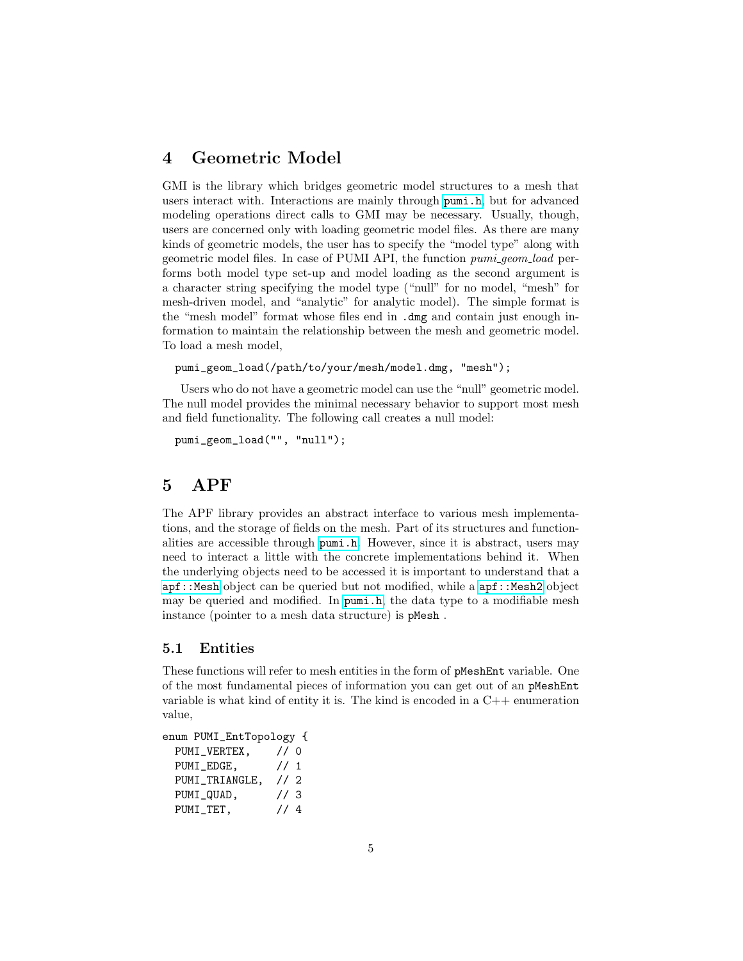### <span id="page-4-0"></span>4 Geometric Model

GMI is the library which bridges geometric model structures to a mesh that users interact with. Interactions are mainly through [pumi.h](https://github.com/SCOREC/core/blob/master/pumi/pumi.h), but for advanced modeling operations direct calls to GMI may be necessary. Usually, though, users are concerned only with loading geometric model files. As there are many kinds of geometric models, the user has to specify the "model type" along with geometric model files. In case of PUMI API, the function *pumi\_geom\_load* performs both model type set-up and model loading as the second argument is a character string specifying the model type ("null" for no model, "mesh" for mesh-driven model, and "analytic" for analytic model). The simple format is the "mesh model" format whose files end in .dmg and contain just enough information to maintain the relationship between the mesh and geometric model. To load a mesh model,

pumi\_geom\_load(/path/to/your/mesh/model.dmg, "mesh");

Users who do not have a geometric model can use the "null" geometric model. The null model provides the minimal necessary behavior to support most mesh and field functionality. The following call creates a null model:

pumi\_geom\_load("", "null");

### 5 APF

The APF library provides an abstract interface to various mesh implementations, and the storage of fields on the mesh. Part of its structures and functionalities are accessible through [pumi.h](https://github.com/SCOREC/core/blob/master/pumi/pumi.h). However, since it is abstract, users may need to interact a little with the concrete implementations behind it. When the underlying objects need to be accessed it is important to understand that a [apf::Mesh](http://scorec.rpi.edu/~seol/scorec/doxygen/classapf_1_1Mesh.html) object can be queried but not modified, while a [apf::Mesh2](http://scorec.rpi.edu/~seol/scorec/doxygen/classapf_1_1Mesh2.html) object may be queried and modified. In [pumi.h](https://github.com/SCOREC/core/blob/master/pumi/pumi.h), the data type to a modifiable mesh instance (pointer to a mesh data structure) is pMesh .

#### 5.1 Entities

These functions will refer to mesh entities in the form of pMeshEnt variable. One of the most fundamental pieces of information you can get out of an pMeshEnt variable is what kind of entity it is. The kind is encoded in a  $C++$  enumeration value,

```
enum PUMI_EntTopology {
 PUMI_VERTEX, // 0
 PUMI_EDGE, // 1
 PUMI_TRIANGLE, // 2
```
PUMI\_QUAD, // 3 PUMI\_TET, // 4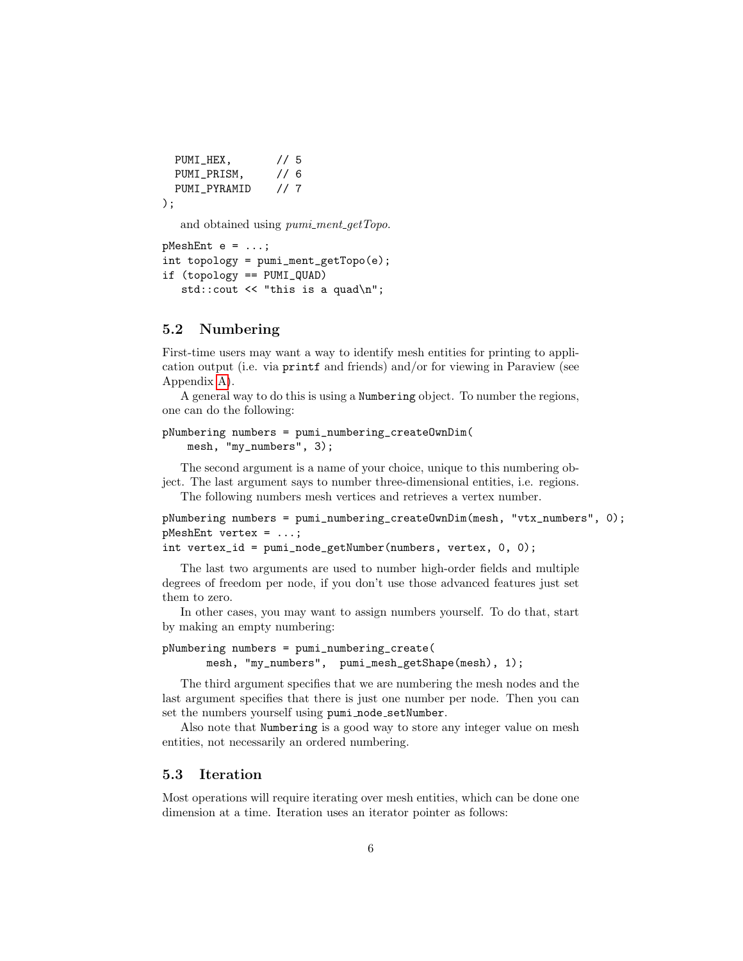```
PUMI_HEX, // 5
 PUMI_PRISM, // 6
 PUMI_PYRAMID // 7
);
```
and obtained using *pumi\_ment\_getTopo*.

```
pMeshEnt e = \dots;int topology = pumi_ment_getTopo(e);
if (topology == PUMI_QUAD)
   std::cout << "this is a quad\n";
```
#### <span id="page-5-0"></span>5.2 Numbering

First-time users may want a way to identify mesh entities for printing to application output (i.e. via printf and friends) and/or for viewing in Paraview (see Appendix [A\)](#page-12-0).

A general way to do this is using a Numbering object. To number the regions, one can do the following:

```
pNumbering numbers = pumi_numbering_createOwnDim(
    mesh, "my_numbers", 3);
```
The second argument is a name of your choice, unique to this numbering object. The last argument says to number three-dimensional entities, i.e. regions.

The following numbers mesh vertices and retrieves a vertex number.

```
pNumbering numbers = pumi_numbering_createOwnDim(mesh, "vtx_numbers", 0);
pMeshEnt vertex = ...;
```
int vertex\_id = pumi\_node\_getNumber(numbers, vertex, 0, 0);

The last two arguments are used to number high-order fields and multiple degrees of freedom per node, if you don't use those advanced features just set them to zero.

In other cases, you may want to assign numbers yourself. To do that, start by making an empty numbering:

```
pNumbering numbers = pumi_numbering_create(
       mesh, "my_numbers", pumi_mesh_getShape(mesh), 1);
```
The third argument specifies that we are numbering the mesh nodes and the last argument specifies that there is just one number per node. Then you can set the numbers yourself using pumi node setNumber.

Also note that Numbering is a good way to store any integer value on mesh entities, not necessarily an ordered numbering.

#### 5.3 Iteration

Most operations will require iterating over mesh entities, which can be done one dimension at a time. Iteration uses an iterator pointer as follows: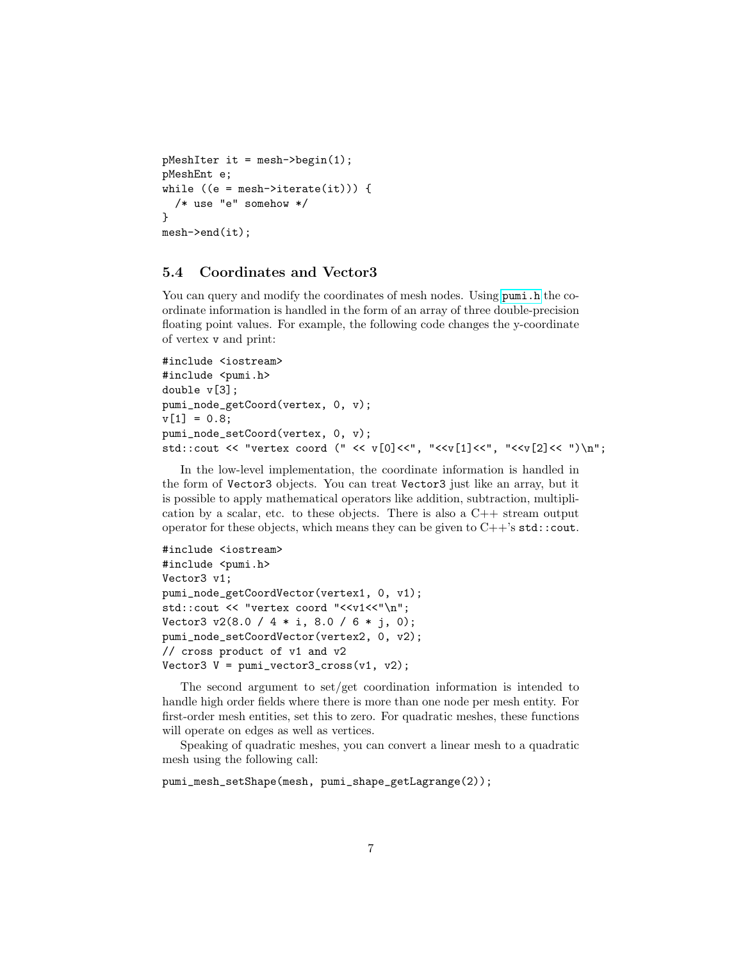```
pMeshIter it = mesh->begin(1);
pMeshEnt e;
while ((e = mesh{\rightarrow}iterate(it))) {
  /* use "e" somehow */
}
mesh->end(it);
```
#### 5.4 Coordinates and Vector3

You can query and modify the coordinates of mesh nodes. Using [pumi.h](https://github.com/SCOREC/core/blob/master/pumi/pumi.h) the coordinate information is handled in the form of an array of three double-precision floating point values. For example, the following code changes the y-coordinate of vertex v and print:

```
#include <iostream>
#include <pumi.h>
double v[3];
pumi_node_getCoord(vertex, 0, v);
v[1] = 0.8;pumi_node_setCoord(vertex, 0, v);
std::cout << "vertex coord (" << v[0]<<", "<<v[1]<<", "<<v[2]<< ")\n";
```
In the low-level implementation, the coordinate information is handled in the form of Vector3 objects. You can treat Vector3 just like an array, but it is possible to apply mathematical operators like addition, subtraction, multiplication by a scalar, etc. to these objects. There is also a  $C++$  stream output operator for these objects, which means they can be given to  $C++$ 's  $std::count$ .

```
#include <iostream>
#include <pumi.h>
Vector3 v1;
pumi_node_getCoordVector(vertex1, 0, v1);
std::cout << "vertex coord "<<v1<<"\n";
Vector3 v2(8.0 / 4 * i, 8.0 / 6 * j, 0);
pumi_node_setCoordVector(vertex2, 0, v2);
// cross product of v1 and v2
Vector3 V = pumi\_vector3\_cross(v1, v2);
```
The second argument to set/get coordination information is intended to handle high order fields where there is more than one node per mesh entity. For first-order mesh entities, set this to zero. For quadratic meshes, these functions will operate on edges as well as vertices.

Speaking of quadratic meshes, you can convert a linear mesh to a quadratic mesh using the following call:

```
pumi_mesh_setShape(mesh, pumi_shape_getLagrange(2));
```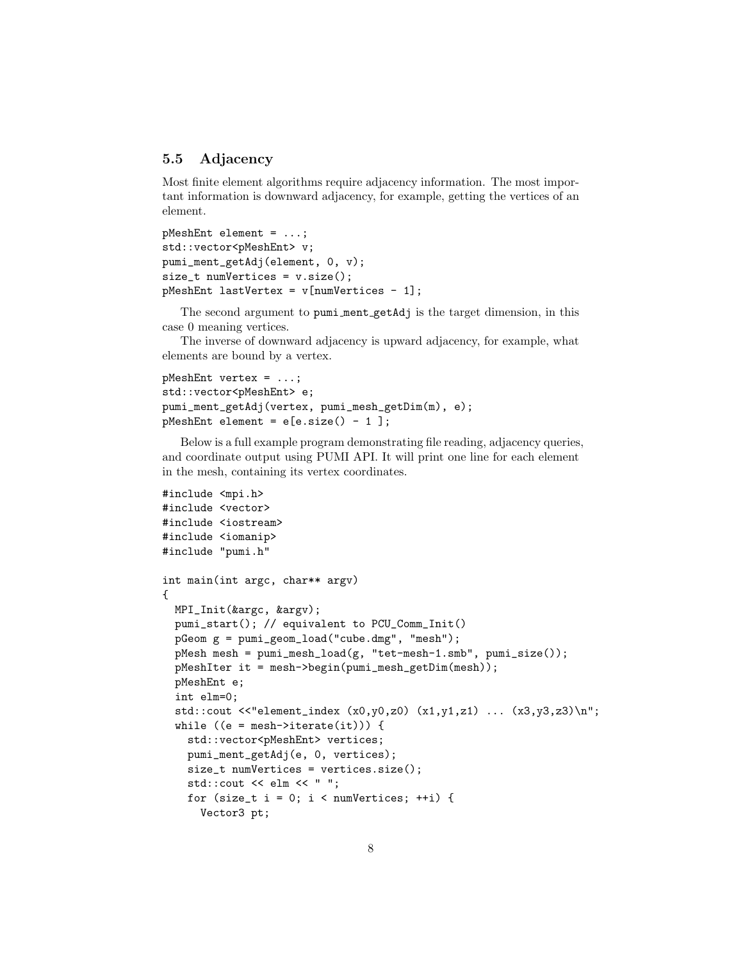#### 5.5 Adjacency

Most finite element algorithms require adjacency information. The most important information is downward adjacency, for example, getting the vertices of an element.

```
pMeshEnt element = ...;
std::vector<pMeshEnt> v;
pumi_ment_getAdj(element, 0, v);
size_t numVertices = v.size();
pMeshEnt lastVertex = v[numVertices - 1];
```
The second argument to pumi ment getAdj is the target dimension, in this case 0 meaning vertices.

The inverse of downward adjacency is upward adjacency, for example, what elements are bound by a vertex.

```
pMeshEnt vertex = ...;
std::vector<pMeshEnt> e;
pumi_ment_getAdj(vertex, pumi_mesh_getDim(m), e);
pMeshEnt element = e[e.size() - 1];
```
Below is a full example program demonstrating file reading, adjacency queries, and coordinate output using PUMI API. It will print one line for each element in the mesh, containing its vertex coordinates.

```
#include <mpi.h>
#include <vector>
#include <iostream>
#include <iomanip>
#include "pumi.h"
int main(int argc, char** argv)
{
 MPI_Init(&argc, &argv);
 pumi_start(); // equivalent to PCU_Comm_Init()
 pGeom g = pumi_geom_load("cube.dmg", "mesh");
 pMesh mesh = pumi_mesh_load(g, "tet-mesh-1.smb", pumi_size());
 pMeshIter it = mesh->begin(pumi_mesh_getDim(mesh));
 pMeshEnt e;
 int elm=0;
  std::cout <<"element_index (x0,y0,z0) (x1,y1,z1) ... (x3,y3,z3)\n";
 while ((e = mesh{\rightarrow}iterate(it))) {
    std::vector<pMeshEnt> vertices;
    pumi_ment_getAdj(e, 0, vertices);
    size_t numVertices = vertices.size();
    std::cout << elm << " ";
    for (size_t i = 0; i < numVertices; ++i) {
      Vector3 pt;
```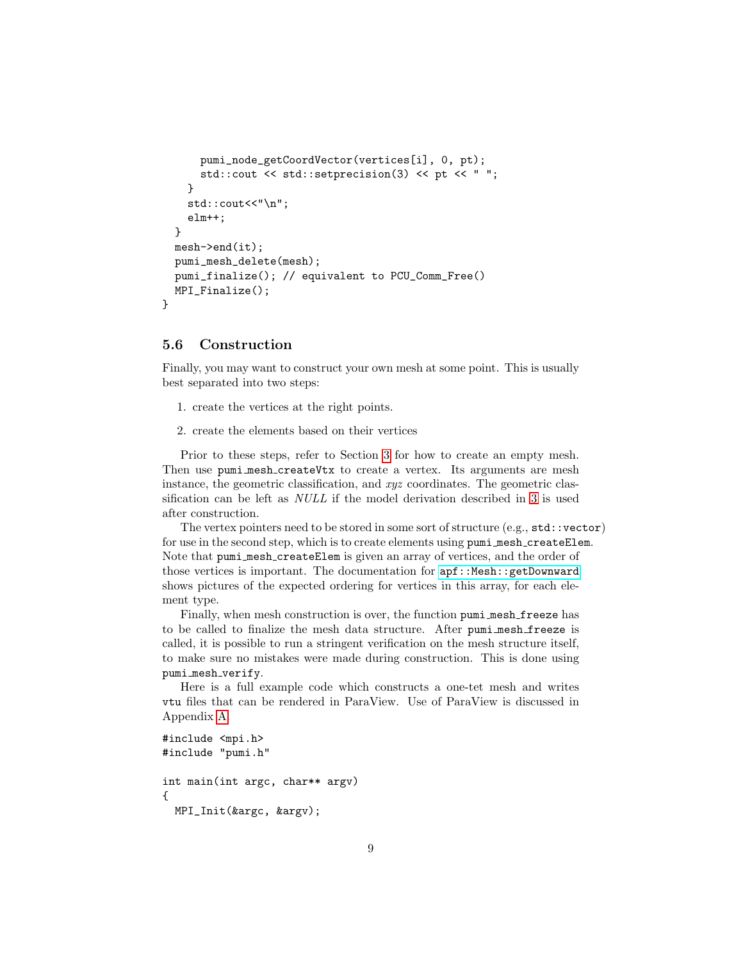```
pumi_node_getCoordVector(vertices[i], 0, pt);
      std::cout << std::setprecision(3) << pt << " ";
    }
    std::cout<<"\n";
    elm++;
 }
 mesh->end(it);
 pumi_mesh_delete(mesh);
 pumi_finalize(); // equivalent to PCU_Comm_Free()
 MPI_Finalize();
}
```
#### <span id="page-8-0"></span>5.6 Construction

Finally, you may want to construct your own mesh at some point. This is usually best separated into two steps:

- 1. create the vertices at the right points.
- 2. create the elements based on their vertices

Prior to these steps, refer to Section [3](#page-3-0) for how to create an empty mesh. Then use pumi mesh createVtx to create a vertex. Its arguments are mesh instance, the geometric classification, and xyz coordinates. The geometric classification can be left as NULL if the model derivation described in [3](#page-3-0) is used after construction.

The vertex pointers need to be stored in some sort of structure (e.g., std::vector) for use in the second step, which is to create elements using pumi mesh createElem. Note that pumi mesh createElem is given an array of vertices, and the order of those vertices is important. The documentation for  $apf::Mesh::getDownward$ shows pictures of the expected ordering for vertices in this array, for each element type.

Finally, when mesh construction is over, the function pumi mesh freeze has to be called to finalize the mesh data structure. After pumi mesh freeze is called, it is possible to run a stringent verification on the mesh structure itself, to make sure no mistakes were made during construction. This is done using pumi mesh verify.

Here is a full example code which constructs a one-tet mesh and writes vtu files that can be rendered in ParaView. Use of ParaView is discussed in Appendix [A.](#page-12-0)

```
#include <mpi.h>
#include "pumi.h"
int main(int argc, char** argv)
{
 MPI_Init(&argc, &argv);
```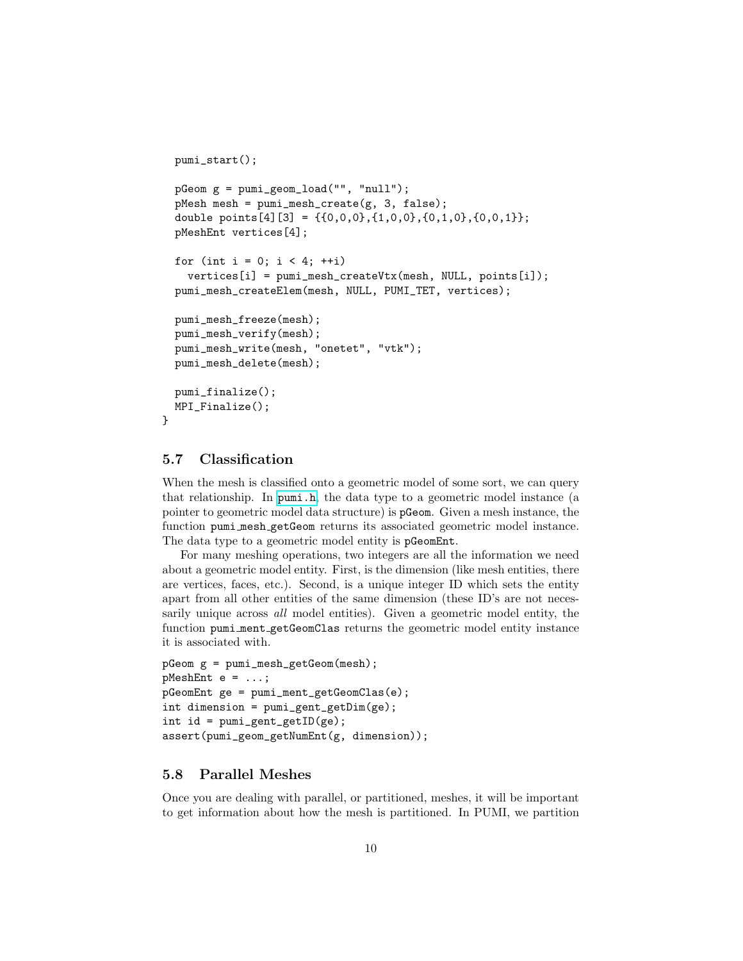```
pumi_start();
pGeom g = pumi_geom_load("", "null");
pMesh mesh = pumi_mesh_create(g, 3, false);
double points[4][3] = {{0,0,0},{1,0,0},{0,1,0},{0,0,1}};
pMeshEnt vertices[4];
for (int i = 0; i < 4; +i)
  vertices[i] = pumi_mesh_createVtx(mesh, NULL, points[i]);
pumi_mesh_createElem(mesh, NULL, PUMI_TET, vertices);
pumi_mesh_freeze(mesh);
pumi_mesh_verify(mesh);
pumi_mesh_write(mesh, "onetet", "vtk");
pumi_mesh_delete(mesh);
pumi_finalize();
MPI_Finalize();
```
#### 5.7 Classification

}

When the mesh is classified onto a geometric model of some sort, we can query that relationship. In [pumi.h](https://github.com/SCOREC/core/blob/master/pumi/pumi.h), the data type to a geometric model instance (a pointer to geometric model data structure) is pGeom. Given a mesh instance, the function pumi mesh getGeom returns its associated geometric model instance. The data type to a geometric model entity is pGeomEnt.

For many meshing operations, two integers are all the information we need about a geometric model entity. First, is the dimension (like mesh entities, there are vertices, faces, etc.). Second, is a unique integer ID which sets the entity apart from all other entities of the same dimension (these ID's are not necessarily unique across *all* model entities). Given a geometric model entity, the function pumi ment getGeomClas returns the geometric model entity instance it is associated with.

```
pGeom g = pumi_mesh_getGeom(mesh);
pMeshEnt e = \dots;pGeomEnt ge = pumi_ment_getGeomClas(e);
int dimension = pumi_gent_getDim(ge);
int id = pumi\_gent\_getID(ge);
assert(pumi_geom_getNumEnt(g, dimension));
```
#### 5.8 Parallel Meshes

Once you are dealing with parallel, or partitioned, meshes, it will be important to get information about how the mesh is partitioned. In PUMI, we partition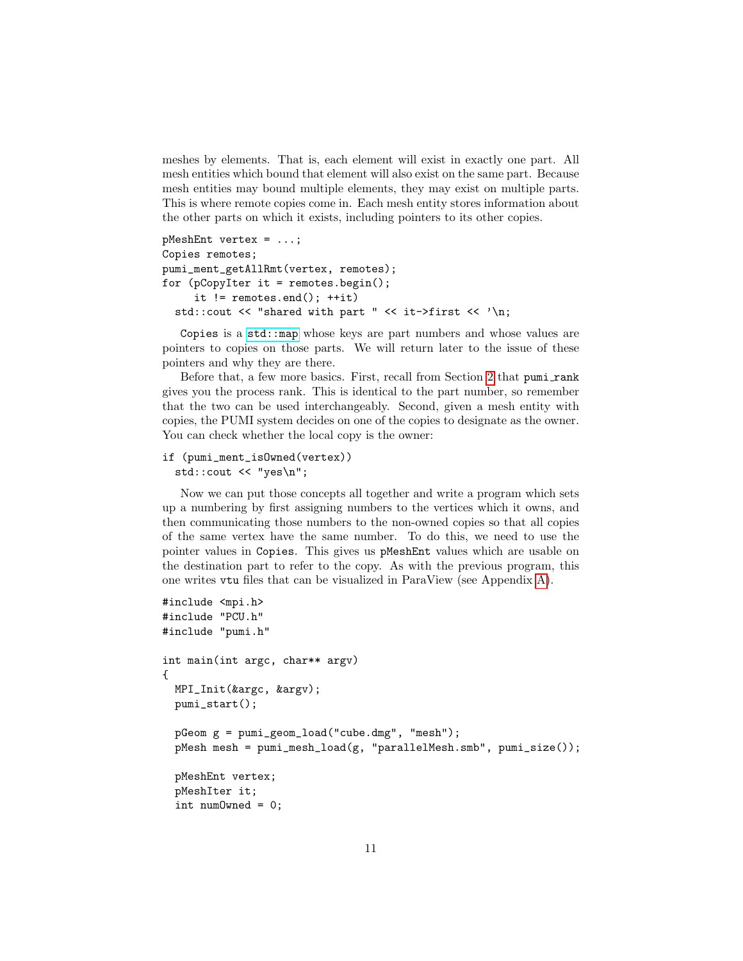meshes by elements. That is, each element will exist in exactly one part. All mesh entities which bound that element will also exist on the same part. Because mesh entities may bound multiple elements, they may exist on multiple parts. This is where remote copies come in. Each mesh entity stores information about the other parts on which it exists, including pointers to its other copies.

```
pMeshEnt vertex = ...;
Copies remotes;
pumi_ment_getAllRmt(vertex, remotes);
for (pCopyIter it = remotes.begin();
     it != remotes.end(); ++it)
  std::cout << "shared with part " << it->first << '\n;
```
Copies is a [std::map](http://www.cplusplus.com/reference/map/map/) whose keys are part numbers and whose values are pointers to copies on those parts. We will return later to the issue of these pointers and why they are there.

Before that, a few more basics. First, recall from Section [2](#page-1-1) that pumi rank gives you the process rank. This is identical to the part number, so remember that the two can be used interchangeably. Second, given a mesh entity with copies, the PUMI system decides on one of the copies to designate as the owner. You can check whether the local copy is the owner:

```
if (pumi_ment_isOwned(vertex))
  std::cout << "yes\n";
```
Now we can put those concepts all together and write a program which sets up a numbering by first assigning numbers to the vertices which it owns, and then communicating those numbers to the non-owned copies so that all copies of the same vertex have the same number. To do this, we need to use the pointer values in Copies. This gives us pMeshEnt values which are usable on the destination part to refer to the copy. As with the previous program, this one writes vtu files that can be visualized in ParaView (see Appendix [A\)](#page-12-0).

```
#include <mpi.h>
#include "PCU.h"
#include "pumi.h"
int main(int argc, char** argv)
{
 MPI_Init(&argc, &argv);
 pumi_start();
  pGeom g = pumi_geom_load("cube.dmg", "mesh");
 pMesh mesh = pumi_mesh_load(g, "parallelMesh.smb", pumi_size());
 pMeshEnt vertex;
 pMeshIter it;
  int numOwned = 0;
```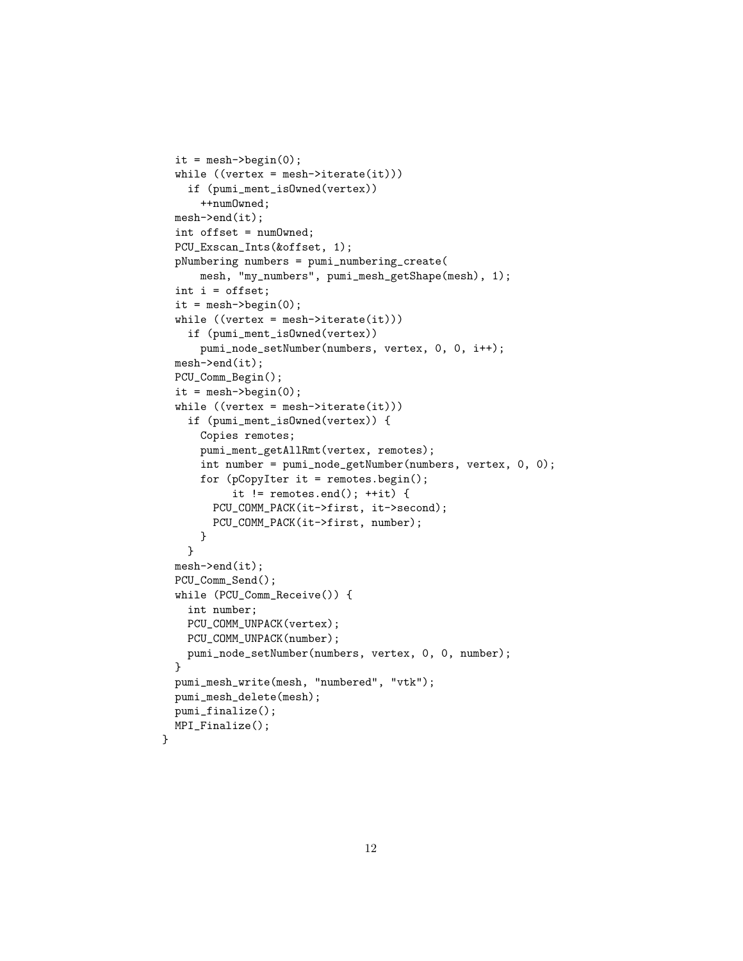```
it = mesh->begin(0);while ((vertex = mesh->iterate(it)))if (pumi_ment_isOwned(vertex))
      ++numOwned;
 mesh->end(it);
  int offset = numOwned;
 PCU_Exscan_Ints(&offset, 1);
 pNumbering numbers = pumi_numbering_create(
      mesh, "my_numbers", pumi_mesh_getShape(mesh), 1);
 int i = offset;
  it = mesh->begin(0);while ((vertex = mesh->iterate(it)))
    if (pumi_ment_isOwned(vertex))
     pumi_node_setNumber(numbers, vertex, 0, 0, i++);
 mesh->end(it);
 PCU_Comm_Begin();
  it = mesh->begin(0);while ((vertex = mesh->iterate(it)))if (pumi_ment_isOwned(vertex)) {
      Copies remotes;
      pumi_ment_getAllRmt(vertex, remotes);
      int number = pumi_node_getNumber(numbers, vertex, 0, 0);
     for (pCopyIter it = remotes.begin();
           it != remotes.end(); ++it) {
        PCU_COMM_PACK(it->first, it->second);
        PCU_COMM_PACK(it->first, number);
      }
    }
 mesh->end(it);
 PCU_Comm_Send();
 while (PCU_Comm_Receive()) {
    int number;
   PCU_COMM_UNPACK(vertex);
   PCU_COMM_UNPACK(number);
   pumi_node_setNumber(numbers, vertex, 0, 0, number);
 }
 pumi_mesh_write(mesh, "numbered", "vtk");
 pumi_mesh_delete(mesh);
 pumi_finalize();
 MPI_Finalize();
}
```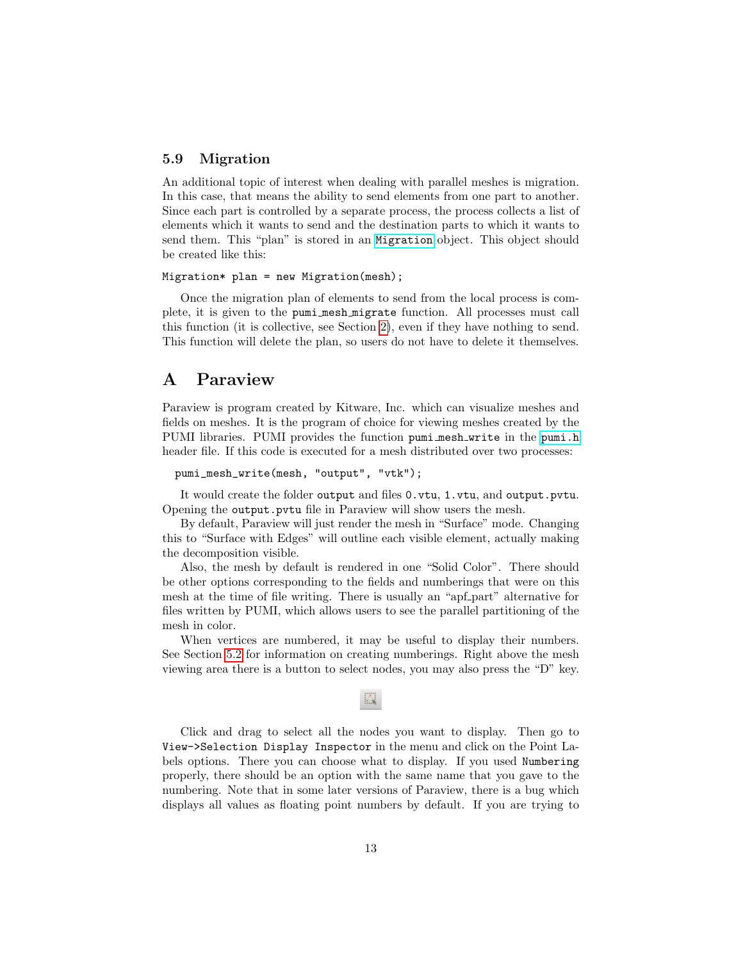#### 5.9 Migration

An additional topic of interest when dealing with parallel meshes is migration. In this case, that means the ability to send elements from one part to another. Since each part is controlled by a separate process, the process collects a list of elements which it wants to send and the destination parts to which it wants to send them. This "plan" is stored in an [Migration](http://scorec.rpi.edu/~seol/scorec/doxygen/classapf_1_1Migration.html) object. This object should be created like this:

#### Migration\* plan = new Migration(mesh);

Once the migration plan of elements to send from the local process is complete, it is given to the pumi mesh migrate function. All processes must call this function (it is collective, see Section [2\)](#page-1-1), even if they have nothing to send. This function will delete the plan, so users do not have to delete it themselves.

### <span id="page-12-0"></span>A Paraview

Paraview is program created by Kitware, Inc. which can visualize meshes and fields on meshes. It is the program of choice for viewing meshes created by the PUMI libraries. PUMI provides the function pumi mesh write in the [pumi.h](https://github.com/SCOREC/core/blob/master/pumi/pumi.h) header file. If this code is executed for a mesh distributed over two processes:

```
pumi_mesh_write(mesh, "output", "vtk");
```
It would create the folder output and files 0.vtu, 1.vtu, and output.pvtu. Opening the output.pvtu file in Paraview will show users the mesh.

By default, Paraview will just render the mesh in "Surface" mode. Changing this to "Surface with Edges" will outline each visible element, actually making the decomposition visible.

Also, the mesh by default is rendered in one "Solid Color". There should be other options corresponding to the fields and numberings that were on this mesh at the time of file writing. There is usually an "apf part" alternative for files written by PUMI, which allows users to see the parallel partitioning of the mesh in color.

When vertices are numbered, it may be useful to display their numbers. See Section [5.2](#page-5-0) for information on creating numberings. Right above the mesh viewing area there is a button to select nodes, you may also press the "D" key.

Click and drag to select all the nodes you want to display. Then go to View->Selection Display Inspector in the menu and click on the Point Labels options. There you can choose what to display. If you used Numbering properly, there should be an option with the same name that you gave to the numbering. Note that in some later versions of Paraview, there is a bug which displays all values as floating point numbers by default. If you are trying to